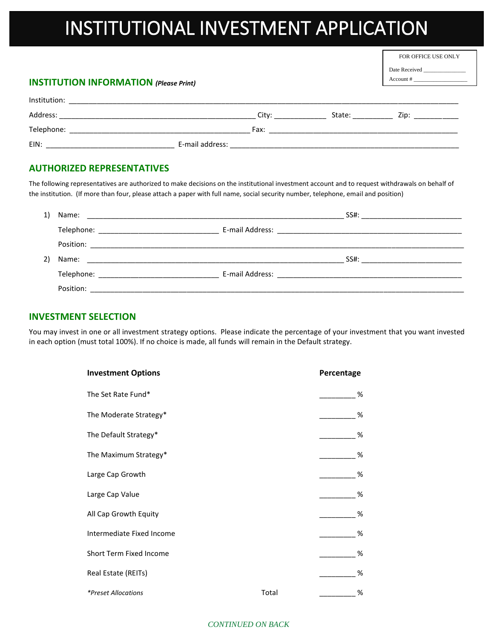## INSTITUTIONAL INVESTMENT APPLICATION

FOR OFFICE USE ONLY

Date Received Account # \_\_\_\_\_\_\_\_\_\_\_\_\_\_\_\_\_\_\_

#### **INSTITUTION INFORMATION** *(Please Print)*

| Institution: |                 |       |        |      |
|--------------|-----------------|-------|--------|------|
| Address:     |                 | Citv: | State: | Zip: |
| Telephone:   |                 | Fax:  |        |      |
| EIN:         | E-mail address: |       |        |      |

#### **AUTHORIZED REPRESENTATIVES**

The following representatives are authorized to make decisions on the institutional investment account and to request withdrawals on behalf of the institution. (If more than four, please attach a paper with full name, social security number, telephone, email and position)

|  |                                                                                                                | SS#: ____________________________ |
|--|----------------------------------------------------------------------------------------------------------------|-----------------------------------|
|  | E-mail Address: 2008 2009 2010 2021 2022 2023 2024 2022 2023 2024 2022 2023 2024 2022 2023 2024 2022 2023 2024 |                                   |
|  |                                                                                                                |                                   |

#### **INVESTMENT SELECTION**

You may invest in one or all investment strategy options. Please indicate the percentage of your investment that you want invested in each option (must total 100%). If no choice is made, all funds will remain in the Default strategy.

| <b>Investment Options</b> |       | Percentage |  |
|---------------------------|-------|------------|--|
| The Set Rate Fund*        |       | %          |  |
| The Moderate Strategy*    |       | %          |  |
| The Default Strategy*     |       | %          |  |
| The Maximum Strategy*     |       | %          |  |
| Large Cap Growth          |       | %          |  |
| Large Cap Value           |       | %          |  |
| All Cap Growth Equity     |       | %          |  |
| Intermediate Fixed Income |       | %          |  |
| Short Term Fixed Income   |       | %          |  |
| Real Estate (REITs)       |       | %          |  |
| *Preset Allocations       | Total | %          |  |

#### *CONTINUED ON BACK*